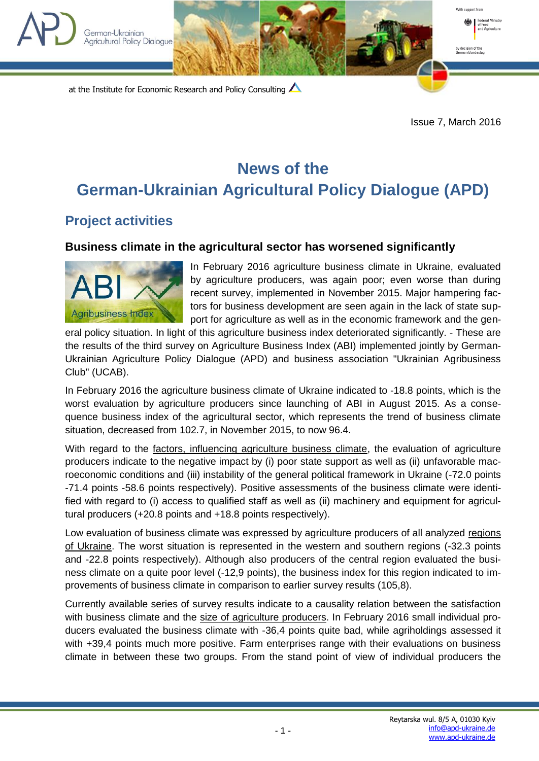



at the Institute for Economic Research and Policy Consulting

Issue 7, March 2016

## **News of the German-Ukrainian Agricultural Policy Dialogue (APD)**

## **Project activities**

## **Business climate in the agricultural sector has worsened significantly**



In February 2016 agriculture business climate in Ukraine, evaluated by agriculture producers, was again poor; even worse than during recent survey, implemented in November 2015. Major hampering factors for business development are seen again in the lack of state support for agriculture as well as in the economic framework and the gen-

eral policy situation. In light of this agriculture business index deteriorated significantly. - These are the results of the third survey on Agriculture Business Index (ABI) implemented jointly by German-Ukrainian Agriculture Policy Dialogue (APD) and business association "Ukrainian Agribusiness Club" (UCAB).

In February 2016 the agriculture business climate of Ukraine indicated to -18.8 points, which is the worst evaluation by agriculture producers since launching of ABI in August 2015. As a consequence business index of the agricultural sector, which represents the trend of business climate situation, decreased from 102.7, in November 2015, to now 96.4.

With regard to the factors, influencing agriculture business climate, the evaluation of agriculture producers indicate to the negative impact by (i) poor state support as well as (ii) unfavorable macroeconomic conditions and (iii) instability of the general political framework in Ukraine (-72.0 points -71.4 points -58.6 points respectively). Positive assessments of the business climate were identified with regard to (i) access to qualified staff as well as (ii) machinery and equipment for agricultural producers (+20.8 points and +18.8 points respectively).

Low evaluation of business climate was expressed by agriculture producers of all analyzed regions of Ukraine. The worst situation is represented in the western and southern regions (-32.3 points and -22.8 points respectively). Although also producers of the central region evaluated the business climate on a quite poor level (-12,9 points), the business index for this region indicated to improvements of business climate in comparison to earlier survey results (105,8).

Currently available series of survey results indicate to a causality relation between the satisfaction with business climate and the size of agriculture producers. In February 2016 small individual producers evaluated the business climate with -36,4 points quite bad, while agriholdings assessed it with +39,4 points much more positive. Farm enterprises range with their evaluations on business climate in between these two groups. From the stand point of view of individual producers the